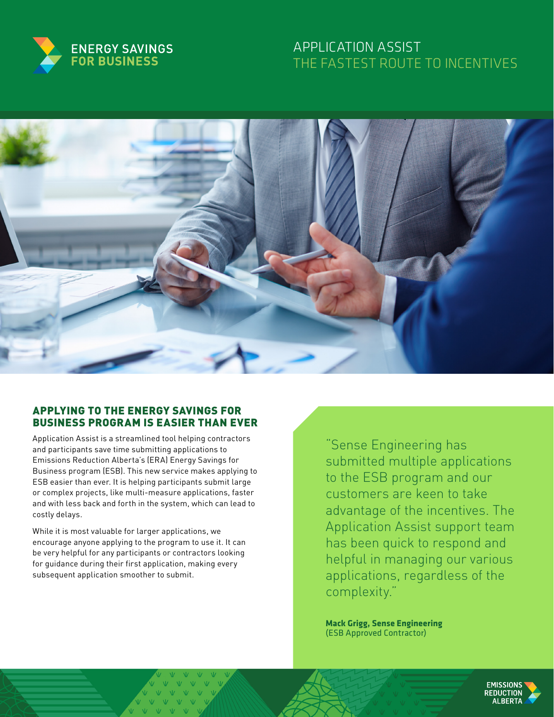

# APPLICATION ASSIST THE FASTEST ROUTE TO INCENTIVES



## APPLYING TO THE ENERGY SAVINGS FOR BUSINESS PROGRAM IS EASIER THAN EVER

Application Assist is a streamlined tool helping contractors and participants save time submitting applications to Emissions Reduction Alberta's (ERA) Energy Savings for Business program (ESB). This new service makes applying to ESB easier than ever. It is helping participants submit large or complex projects, like multi-measure applications, faster and with less back and forth in the system, which can lead to costly delays.

While it is most valuable for larger applications, we encourage anyone applying to the program to use it. It can be very helpful for any participants or contractors looking for guidance during their first application, making every subsequent application smoother to submit.

"Sense Engineering has submitted multiple applications to the ESB program and our customers are keen to take advantage of the incentives. The Application Assist support team has been quick to respond and helpful in managing our various applications, regardless of the complexity."

**Mack Grigg, Sense Engineering**  (ESB Approved Contractor)

> **EMISSIONS** REDUCTION **AI RERTA**